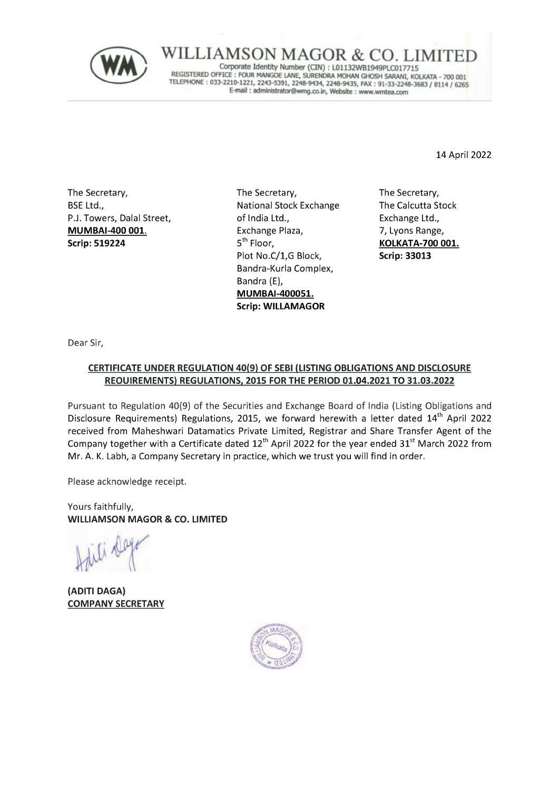

 $LIMSON MAGOR \&$  CO. LIMITED REGISTERED OFFICE : FOUR MANGOE LANE, SURENDRA MOHAN GHOSH SARANI, KOLKATA - 700 001 E-mail : administrator@wmg.co.in, Website : www.wmtea.com

14 April 2022

The Secretary, BSE Ltd., P.J. Towers, Dalal Street, MUMBAI-400 001. Scrip: 519224

The Secretary, National Stock Exchange of India Ltd., Exchange Plaza, 5<sup>th</sup> Floor, Plot No.C/1,G Block, Bandra-Kurla Complex, Bandra (E), MUMBAI-400051. Scrip: WILLAMAGOR

The Secretary, The Calcutta Stock Exchange Ltd., 7, Lyons Range, KOLKATA-700 001. Scrip: 33013

Dear Sir,

## CERTIFICATE UNDER REGULATION 40(9) OF SEBI (LISTING OBLIGATIONS AND DISCLOSURE REQUIREMENTS) REGULATIONS, 2015 FOR THE PERIOD 01.04.2021 TO 31.03.2022

Pursuant to Regulation 40(9) of the Securities and Exchange Board of India (Listing Obligations and Disclosure Requirements) Regulations, 2015, we forward herewith a letter dated 14<sup>th</sup> April 2022 received from Maheshwari Datamatics Private Limited, Registrar and Share Transfer Agent of the Company together with a Certificate dated  $12<sup>th</sup>$  April 2022 for the year ended 31<sup>st</sup> March 2022 from Mr. A. K. Labh, a Company Secretary in practice, which we trust you will find in order.

Please acknowledge receipt.

Yours faithfully, WILLIAMSON MAGOR & CO. LIMITED

(ADITI DAGA) COMPANY SECRETARY